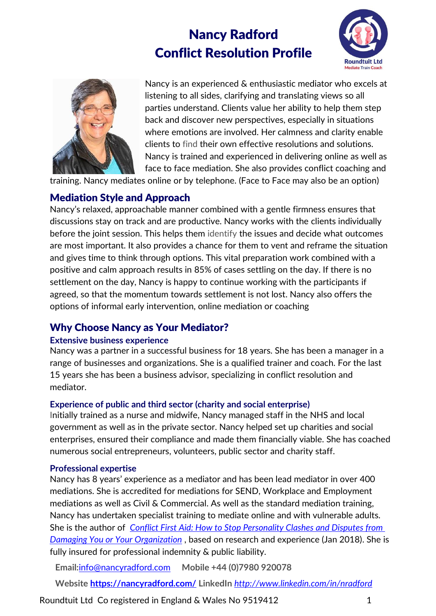# Nancy Radford Conflict Resolution Profile





Nancy is an experienced & enthusiastic mediator who excels at listening to all sides, clarifying and translating views so all parties understand. Clients value her ability to help them step back and discover new perspectives, especially in situations where emotions are involved. Her calmness and clarity enable clients to find their own effective resolutions and solutions. Nancy is trained and experienced in delivering online as well as face to face mediation. She also provides conflict coaching and

training. Nancy mediates online or by telephone. (Face to Face may also be an option)

## Mediation Style and Approach

Nancy's relaxed, approachable manner combined with a gentle firmness ensures that discussions stay on track and are productive. Nancy works with the clients individually before the joint session. This helps them identify the issues and decide what outcomes are most important. It also provides a chance for them to vent and reframe the situation and gives time to think through options. This vital preparation work combined with a positive and calm approach results in 85% of cases settling on the day. If there is no settlement on the day, Nancy is happy to continue working with the participants if agreed, so that the momentum towards settlement is not lost. Nancy also offers the options of informal early intervention, online mediation or coaching

## Why Choose Nancy as Your Mediator?

#### **Extensive business experience**

Nancy was a partner in a successful business for 18 years. She has been a manager in a range of businesses and organizations. She is a qualified trainer and coach. For the last 15 years she has been a business advisor, specializing in conflict resolution and mediator.

### **Experience of public and third sector (charity and social enterprise)**

Initially trained as a nurse and midwife, Nancy managed staff in the NHS and local government as well as in the private sector. Nancy helped set up charities and social enterprises, ensured their compliance and made them financially viable. She has coached numerous social entrepreneurs, volunteers, public sector and charity staff.

### **Professional expertise**

Nancy has 8 years' experience as a mediator and has been lead mediator in over 400 mediations. She is accredited for mediations for SEND, Workplace and Employment mediations as well as Civil & Commercial. As well as the standard mediation training, Nancy has undertaken specialist training to mediate online and with vulnerable adults. She is the author of *[Conflict First Aid: How to Stop Personality Clashes and Disputes from](https://www.amazon.co.uk/Conflict-First-Aid-Personality-Organization/dp/1631579738/)  [Damaging You or Your Organization](https://www.amazon.co.uk/Conflict-First-Aid-Personality-Organization/dp/1631579738/)* , based on research and experience (Jan 2018). She is fully insured for professional indemnity & public liability.

**Email:**[info@nancyradford.com](mailto:info@nancyradford.com) **Mobile +44 (0)7980 920078** 

**Website<https://nancyradford.com/> LinkedIn** *<http://www.linkedin.com/in/nradford>*

Roundtuit Ltd Co registered in England & Wales No 9519412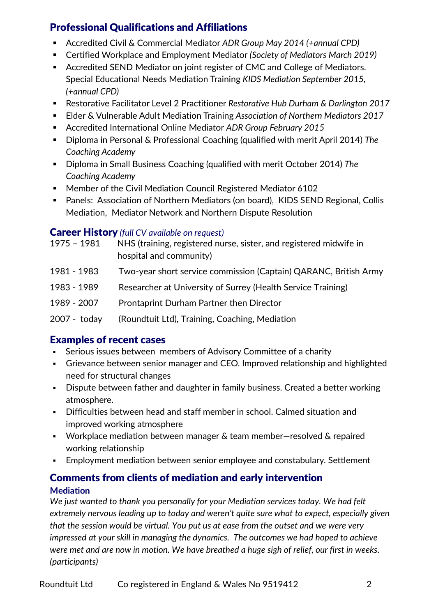# Professional Qualifications and Affiliations

- Accredited Civil & Commercial Mediator *ADR Group May 2014 (+annual CPD)*
- Certified Workplace and Employment Mediator *(Society of Mediators March 2019)*
- Accredited SEND Mediator on joint register of CMC and College of Mediators. Special Educational Needs Mediation Training *KIDS Mediation September 2015, (+annual CPD)*
- Restorative Facilitator Level 2 Practitioner *Restorative Hub Durham & Darlington 2017*
- Elder & Vulnerable Adult Mediation Training *Association of Northern Mediators 2017*
- Accredited International Online Mediator *ADR Group February 2015*
- Diploma in Personal & Professional Coaching (qualified with merit April 2014) *The Coaching Academy*
- Diploma in Small Business Coaching (qualified with merit October 2014) The *Coaching Academy*
- Member of the Civil Mediation Council Registered Mediator 6102
- Panels: Association of Northern Mediators (on board), KIDS SEND Regional, Collis Mediation, Mediator Network and Northern Dispute Resolution

## Career History *(full CV available on request)*

| 1975 - 1981  | NHS (training, registered nurse, sister, and registered midwife in<br>hospital and community) |
|--------------|-----------------------------------------------------------------------------------------------|
| 1981 - 1983  | Two-year short service commission (Captain) QARANC, British Army                              |
| 1983 - 1989  | Researcher at University of Surrey (Health Service Training)                                  |
| 1989 - 2007  | Prontaprint Durham Partner then Director                                                      |
| 2007 - today | (Roundtuit Ltd), Training, Coaching, Mediation                                                |

# Examples of recent cases

- Serious issues between members of Advisory Committee of a charity
- Grievance between senior manager and CEO. Improved relationship and highlighted need for structural changes
- **•** Dispute between father and daughter in family business. Created a better working atmosphere.
- **•** Difficulties between head and staff member in school. Calmed situation and improved working atmosphere
- Workplace mediation between manager & team member–resolved & repaired working relationship
- Employment mediation between senior employee and constabulary. Settlement

## Comments from clients of mediation and early intervention **Mediation**

*We just wanted to thank you personally for your Mediation services today. We had felt extremely nervous leading up to today and weren't quite sure what to expect, especially given that the session would be virtual. You put us at ease from the outset and we were very impressed at your skill in managing the dynamics. The outcomes we had hoped to achieve were met and are now in motion. We have breathed a huge sigh of relief, our first in weeks. (participants)*